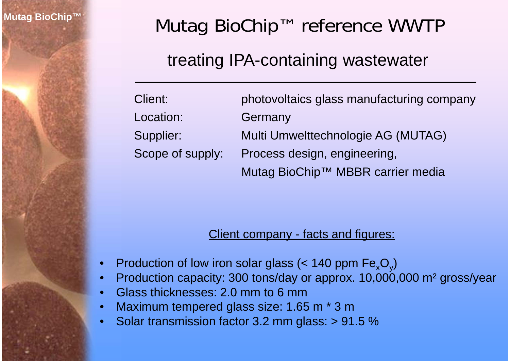### treating IPA-containing wastewater

| Client:          | photovoltaics glass manufacturing company |
|------------------|-------------------------------------------|
| Location:        | Germany                                   |
| Supplier:        | Multi Umwelttechnologie AG (MUTAG)        |
| Scope of supply: | Process design, engineering,              |
|                  | Mutag BioChip™ MBBR carrier media         |

#### Client company - facts and figures:

- •Production of low iron solar glass (< 140 ppm  $Fe<sub>x</sub>O<sub>y</sub>$ )
- •Production capacity: 300 tons/day or approx. 10,000,000 m² gross/year
- •Glass thicknesses: 2.0 mm to 6 mm
- •Maximum tempered glass size: 1.65 m \* 3 m
- •Solar transmission factor 3.2 mm glass: > 91.5 %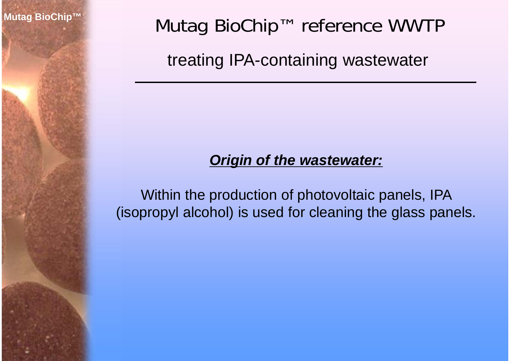treating IPA-containing wastewater

#### *<u>Origin of the wastewater:</u>*

Within the production of photovoltaic panels, IPA (isopropyl alcohol) is used for cleaning the glass panels.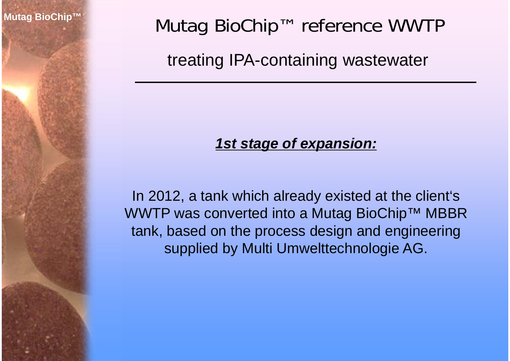#### *<u>1st stage of expansion:</u>*

In 2012, a tank which already existed at the client's WWTP was converted into a Mutag BioChip™ MBBR tank, based on the process design and engineering supplied by Multi Umwelttechnologie AG.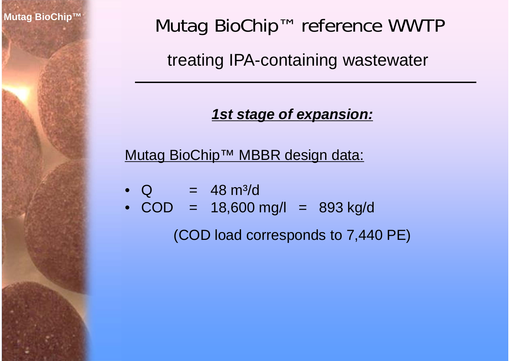treating IPA-containing wastewater

*<u>1st stage of expansion:</u>* 

Mutag BioChip™ MBBR design data:

• Q  $=$  48 m<sup>3</sup>/d

• COD <sup>=</sup> 18,600 mg/l = 893 kg/d

(COD load corresponds to 7,440 PE)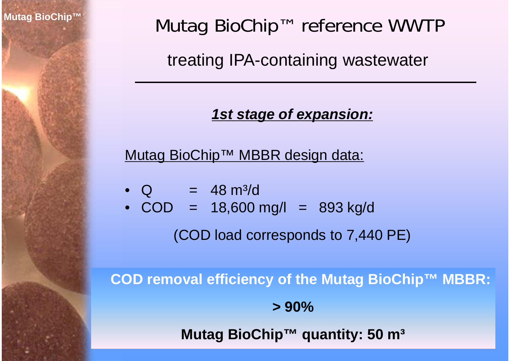*<u>1st stage of expansion:</u>* 

Mutag BioChip<sup>™</sup> MBBR design data:

• Q  $=$  48 m<sup>3</sup>/d

• COD <sup>=</sup> 18,600 mg/l = 893 kg/d

(COD load corresponds to 7,440 PE)

**COD removal efficiency of the Mutag BioChip™ MBBR:**

**> 90%**

**Mutag BioChip™ quantity: 50 m³**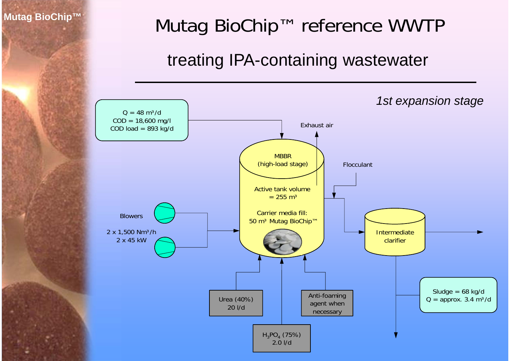### treating IPA-containing wastewater

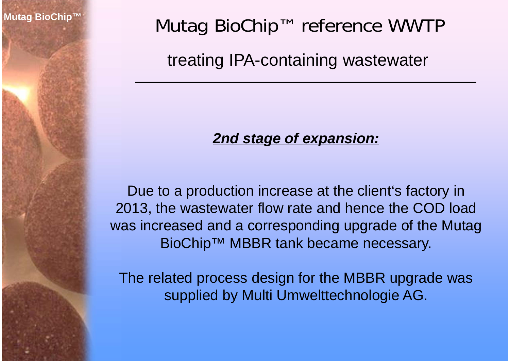#### **2nd stage of expansion:**

Due to a production increase at the client's factory in 2013, the wastewater flow rate and hence the COD load was increased and a corresponding upgrade of the Mutag BioChip™ MBBR tank became necessary.

The related process design for the MBBR upgrade was supplied by Multi Umwelttechnologie AG.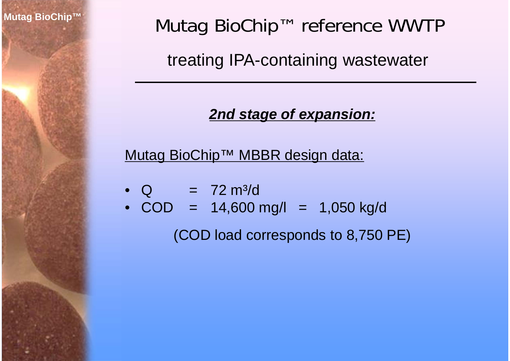**2nd stage of expansion:** 

Mutag BioChip™ MBBR design data:

• Q  $= 72 \text{ m}^3/\text{d}$ 

• COD <sup>=</sup> 14,600 mg/l = 1,050 kg/d

(COD load corresponds to 8,750 PE)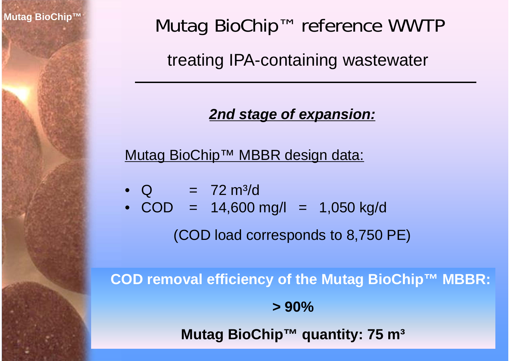treating IPA-containing wastewater

*2nd stage of expansion:*

Mutag BioChip™ MBBR design data:

• Q  $= 72 \text{ m}^3/\text{d}$ 

• COD <sup>=</sup> 14,600 mg/l = 1,050 kg/d

(COD load corresponds to 8,750 PE)

**COD removal efficiency of the Mutag BioChip™ MBBR:**

**> 90%**

**Mutag BioChip™ quantity: 75 m³**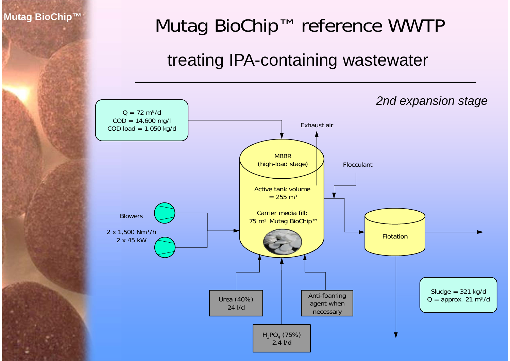### treating IPA-containing wastewater

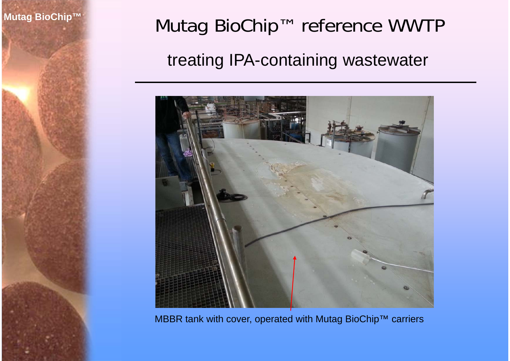



MBBR tank with cover, operated with Mutag BioChip™ carriers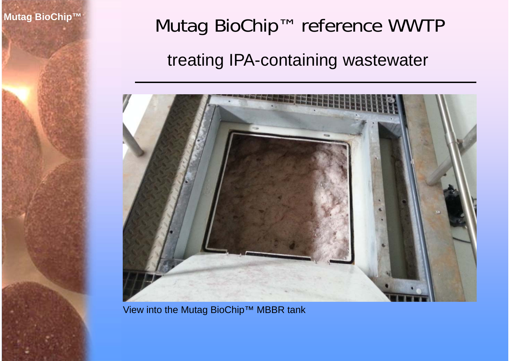

View into the Mutag BioChip™ MBBR tank